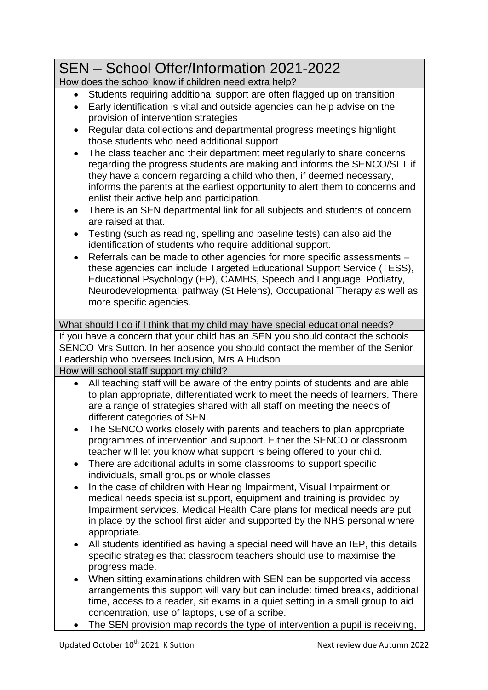## SEN – School Offer/Information 2021-2022

How does the school know if children need extra help?

- Students requiring additional support are often flagged up on transition
- Early identification is vital and outside agencies can help advise on the provision of intervention strategies
- Regular data collections and departmental progress meetings highlight those students who need additional support
- The class teacher and their department meet regularly to share concerns regarding the progress students are making and informs the SENCO/SLT if they have a concern regarding a child who then, if deemed necessary, informs the parents at the earliest opportunity to alert them to concerns and enlist their active help and participation.
- There is an SEN departmental link for all subjects and students of concern are raised at that.
- Testing (such as reading, spelling and baseline tests) can also aid the identification of students who require additional support.
- Referrals can be made to other agencies for more specific assessments these agencies can include Targeted Educational Support Service (TESS), Educational Psychology (EP), CAMHS, Speech and Language, Podiatry, Neurodevelopmental pathway (St Helens), Occupational Therapy as well as more specific agencies.

What should I do if I think that my child may have special educational needs? If you have a concern that your child has an SEN you should contact the schools SENCO Mrs Sutton. In her absence you should contact the member of the Senior Leadership who oversees Inclusion, Mrs A Hudson How will school staff support my child?

- All teaching staff will be aware of the entry points of students and are able to plan appropriate, differentiated work to meet the needs of learners. There are a range of strategies shared with all staff on meeting the needs of different categories of SEN.
- The SENCO works closely with parents and teachers to plan appropriate programmes of intervention and support. Either the SENCO or classroom teacher will let you know what support is being offered to your child.
- There are additional adults in some classrooms to support specific individuals, small groups or whole classes
- In the case of children with Hearing Impairment, Visual Impairment or medical needs specialist support, equipment and training is provided by Impairment services. Medical Health Care plans for medical needs are put in place by the school first aider and supported by the NHS personal where appropriate.
- All students identified as having a special need will have an IEP, this details specific strategies that classroom teachers should use to maximise the progress made.
- When sitting examinations children with SEN can be supported via access arrangements this support will vary but can include: timed breaks, additional time, access to a reader, sit exams in a quiet setting in a small group to aid concentration, use of laptops, use of a scribe.
- The SEN provision map records the type of intervention a pupil is receiving,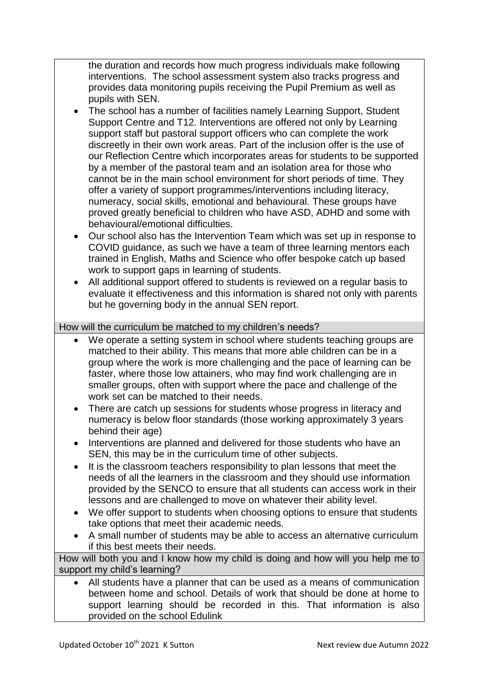the duration and records how much progress individuals make following interventions. The school assessment system also tracks progress and provides data monitoring pupils receiving the Pupil Premium as well as pupils with SEN.

- The school has a number of facilities namely Learning Support, Student Support Centre and T12. Interventions are offered not only by Learning support staff but pastoral support officers who can complete the work discreetly in their own work areas. Part of the inclusion offer is the use of our Reflection Centre which incorporates areas for students to be supported by a member of the pastoral team and an isolation area for those who cannot be in the main school environment for short periods of time. They offer a variety of support programmes/interventions including literacy, numeracy, social skills, emotional and behavioural. These groups have proved greatly beneficial to children who have ASD, ADHD and some with behavioural/emotional difficulties.
- Our school also has the Intervention Team which was set up in response to COVID guidance, as such we have a team of three learning mentors each trained in English, Maths and Science who offer bespoke catch up based work to support gaps in learning of students.
- All additional support offered to students is reviewed on a regular basis to evaluate it effectiveness and this information is shared not only with parents but he governing body in the annual SEN report.

How will the curriculum be matched to my children's needs?

- We operate a setting system in school where students teaching groups are matched to their ability. This means that more able children can be in a group where the work is more challenging and the pace of learning can be faster, where those low attainers, who may find work challenging are in smaller groups, often with support where the pace and challenge of the work set can be matched to their needs.
- There are catch up sessions for students whose progress in literacy and numeracy is below floor standards (those working approximately 3 years behind their age)
- Interventions are planned and delivered for those students who have an SEN, this may be in the curriculum time of other subjects.
- It is the classroom teachers responsibility to plan lessons that meet the needs of all the learners in the classroom and they should use information provided by the SENCO to ensure that all students can access work in their lessons and are challenged to move on whatever their ability level.
- We offer support to students when choosing options to ensure that students take options that meet their academic needs.
- A small number of students may be able to access an alternative curriculum if this best meets their needs.

How will both you and I know how my child is doing and how will you help me to support my child's learning?

 All students have a planner that can be used as a means of communication between home and school. Details of work that should be done at home to support learning should be recorded in this. That information is also provided on the school Edulink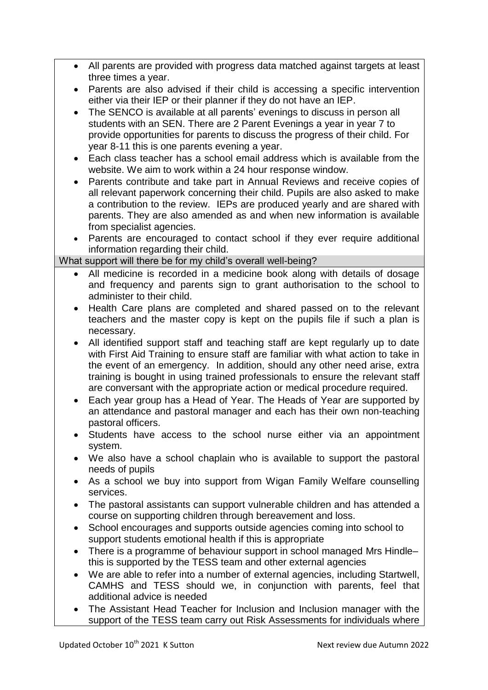- All parents are provided with progress data matched against targets at least three times a year.
- Parents are also advised if their child is accessing a specific intervention either via their IEP or their planner if they do not have an IEP.
- The SENCO is available at all parents' evenings to discuss in person all students with an SEN. There are 2 Parent Evenings a year in year 7 to provide opportunities for parents to discuss the progress of their child. For year 8-11 this is one parents evening a year.
- Each class teacher has a school email address which is available from the website. We aim to work within a 24 hour response window.
- Parents contribute and take part in Annual Reviews and receive copies of all relevant paperwork concerning their child. Pupils are also asked to make a contribution to the review. IEPs are produced yearly and are shared with parents. They are also amended as and when new information is available from specialist agencies.
- Parents are encouraged to contact school if they ever require additional information regarding their child.

What support will there be for my child's overall well-being?

- All medicine is recorded in a medicine book along with details of dosage and frequency and parents sign to grant authorisation to the school to administer to their child.
- Health Care plans are completed and shared passed on to the relevant teachers and the master copy is kept on the pupils file if such a plan is necessary.
- All identified support staff and teaching staff are kept regularly up to date with First Aid Training to ensure staff are familiar with what action to take in the event of an emergency. In addition, should any other need arise, extra training is bought in using trained professionals to ensure the relevant staff are conversant with the appropriate action or medical procedure required.
- Each year group has a Head of Year. The Heads of Year are supported by an attendance and pastoral manager and each has their own non-teaching pastoral officers.
- Students have access to the school nurse either via an appointment system.
- We also have a school chaplain who is available to support the pastoral needs of pupils
- As a school we buy into support from Wigan Family Welfare counselling services.
- The pastoral assistants can support vulnerable children and has attended a course on supporting children through bereavement and loss.
- School encourages and supports outside agencies coming into school to support students emotional health if this is appropriate
- There is a programme of behaviour support in school managed Mrs Hindlethis is supported by the TESS team and other external agencies
- We are able to refer into a number of external agencies, including Startwell, CAMHS and TESS should we, in conjunction with parents, feel that additional advice is needed
- The Assistant Head Teacher for Inclusion and Inclusion manager with the support of the TESS team carry out Risk Assessments for individuals where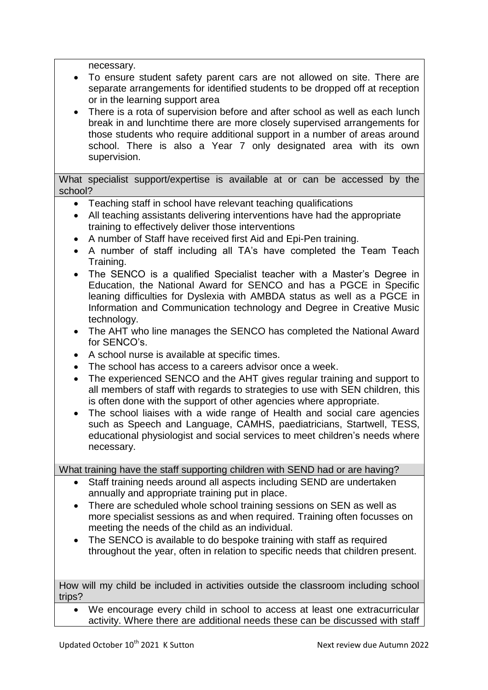necessary.

- To ensure student safety parent cars are not allowed on site. There are separate arrangements for identified students to be dropped off at reception or in the learning support area
- There is a rota of supervision before and after school as well as each lunch break in and lunchtime there are more closely supervised arrangements for those students who require additional support in a number of areas around school. There is also a Year 7 only designated area with its own supervision.

What specialist support/expertise is available at or can be accessed by the school?

- Teaching staff in school have relevant teaching qualifications
- All teaching assistants delivering interventions have had the appropriate training to effectively deliver those interventions
- A number of Staff have received first Aid and Epi-Pen training.
- A number of staff including all TA's have completed the Team Teach Training.
- The SENCO is a qualified Specialist teacher with a Master's Degree in Education, the National Award for SENCO and has a PGCE in Specific leaning difficulties for Dyslexia with AMBDA status as well as a PGCE in Information and Communication technology and Degree in Creative Music technology.
- The AHT who line manages the SENCO has completed the National Award for SENCO's.
- A school nurse is available at specific times.
- The school has access to a careers advisor once a week.
- The experienced SENCO and the AHT gives regular training and support to all members of staff with regards to strategies to use with SEN children, this is often done with the support of other agencies where appropriate.
- The school liaises with a wide range of Health and social care agencies such as Speech and Language, CAMHS, paediatricians, Startwell, TESS, educational physiologist and social services to meet children's needs where necessary.

What training have the staff supporting children with SEND had or are having?

- Staff training needs around all aspects including SEND are undertaken annually and appropriate training put in place.
- There are scheduled whole school training sessions on SEN as well as more specialist sessions as and when required. Training often focusses on meeting the needs of the child as an individual.
- The SENCO is available to do bespoke training with staff as required throughout the year, often in relation to specific needs that children present.

How will my child be included in activities outside the classroom including school trips?

 We encourage every child in school to access at least one extracurricular activity. Where there are additional needs these can be discussed with staff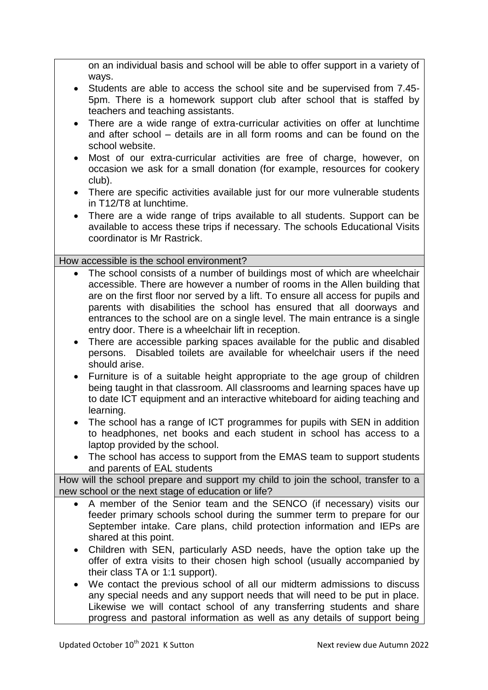on an individual basis and school will be able to offer support in a variety of ways.

- Students are able to access the school site and be supervised from 7.45- 5pm. There is a homework support club after school that is staffed by teachers and teaching assistants.
- There are a wide range of extra-curricular activities on offer at lunchtime and after school – details are in all form rooms and can be found on the school website.
- Most of our extra-curricular activities are free of charge, however, on occasion we ask for a small donation (for example, resources for cookery club).
- There are specific activities available just for our more vulnerable students in T12/T8 at lunchtime.
- There are a wide range of trips available to all students. Support can be available to access these trips if necessary. The schools Educational Visits coordinator is Mr Rastrick.

How accessible is the school environment?

- The school consists of a number of buildings most of which are wheelchair accessible. There are however a number of rooms in the Allen building that are on the first floor nor served by a lift. To ensure all access for pupils and parents with disabilities the school has ensured that all doorways and entrances to the school are on a single level. The main entrance is a single entry door. There is a wheelchair lift in reception.
- There are accessible parking spaces available for the public and disabled persons. Disabled toilets are available for wheelchair users if the need should arise.
- Furniture is of a suitable height appropriate to the age group of children being taught in that classroom. All classrooms and learning spaces have up to date ICT equipment and an interactive whiteboard for aiding teaching and learning.
- The school has a range of ICT programmes for pupils with SEN in addition to headphones, net books and each student in school has access to a laptop provided by the school.
- The school has access to support from the EMAS team to support students and parents of EAL students

How will the school prepare and support my child to join the school, transfer to a new school or the next stage of education or life?

- A member of the Senior team and the SENCO (if necessary) visits our feeder primary schools school during the summer term to prepare for our September intake. Care plans, child protection information and IEPs are shared at this point.
- Children with SEN, particularly ASD needs, have the option take up the offer of extra visits to their chosen high school (usually accompanied by their class TA or 1:1 support).
- We contact the previous school of all our midterm admissions to discuss any special needs and any support needs that will need to be put in place. Likewise we will contact school of any transferring students and share progress and pastoral information as well as any details of support being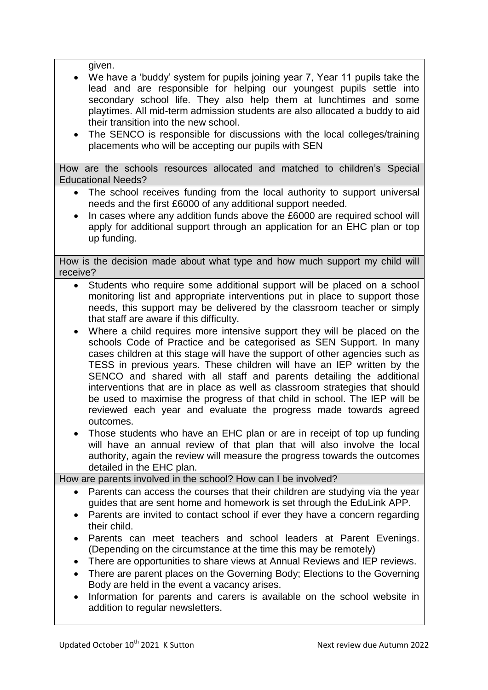given.

- We have a 'buddy' system for pupils joining year 7, Year 11 pupils take the lead and are responsible for helping our youngest pupils settle into secondary school life. They also help them at lunchtimes and some playtimes. All mid-term admission students are also allocated a buddy to aid their transition into the new school.
- The SENCO is responsible for discussions with the local colleges/training placements who will be accepting our pupils with SEN

How are the schools resources allocated and matched to children's Special Educational Needs?

- The school receives funding from the local authority to support universal needs and the first £6000 of any additional support needed.
- In cases where any addition funds above the £6000 are required school will apply for additional support through an application for an EHC plan or top up funding.

How is the decision made about what type and how much support my child will receive?

- Students who require some additional support will be placed on a school monitoring list and appropriate interventions put in place to support those needs, this support may be delivered by the classroom teacher or simply that staff are aware if this difficulty.
- Where a child requires more intensive support they will be placed on the schools Code of Practice and be categorised as SEN Support. In many cases children at this stage will have the support of other agencies such as TESS in previous years. These children will have an IEP written by the SENCO and shared with all staff and parents detailing the additional interventions that are in place as well as classroom strategies that should be used to maximise the progress of that child in school. The IEP will be reviewed each year and evaluate the progress made towards agreed outcomes.
- Those students who have an EHC plan or are in receipt of top up funding will have an annual review of that plan that will also involve the local authority, again the review will measure the progress towards the outcomes detailed in the EHC plan.

How are parents involved in the school? How can I be involved?

- Parents can access the courses that their children are studying via the year guides that are sent home and homework is set through the EduLink APP.
- Parents are invited to contact school if ever they have a concern regarding their child.
- Parents can meet teachers and school leaders at Parent Evenings. (Depending on the circumstance at the time this may be remotely)
- There are opportunities to share views at Annual Reviews and IEP reviews.
- There are parent places on the Governing Body; Elections to the Governing Body are held in the event a vacancy arises.
- Information for parents and carers is available on the school website in addition to regular newsletters.